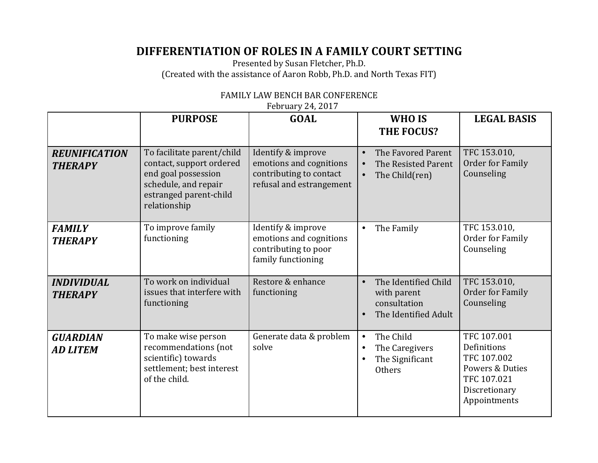## **DIFFERENTIATION OF ROLES IN A FAMILY COURT SETTING**

Presented by Susan Fletcher, Ph.D. (Created with the assistance of Aaron Robb, Ph.D. and North Texas FIT)

|                                        | <b>PURPOSE</b>                                                                                                                                  | <b>GOAL</b>                                                                                          | WHO IS<br><b>THE FOCUS?</b>                                                               | <b>LEGAL BASIS</b>                                                                                           |
|----------------------------------------|-------------------------------------------------------------------------------------------------------------------------------------------------|------------------------------------------------------------------------------------------------------|-------------------------------------------------------------------------------------------|--------------------------------------------------------------------------------------------------------------|
| <b>REUNIFICATION</b><br><b>THERAPY</b> | To facilitate parent/child<br>contact, support ordered<br>end goal possession<br>schedule, and repair<br>estranged parent-child<br>relationship | Identify & improve<br>emotions and cognitions<br>contributing to contact<br>refusal and estrangement | The Favored Parent<br>$\bullet$<br>The Resisted Parent<br>The Child(ren)<br>$\bullet$     | TFC 153.010,<br>Order for Family<br>Counseling                                                               |
| <b>FAMILY</b><br><b>THERAPY</b>        | To improve family<br>functioning                                                                                                                | Identify & improve<br>emotions and cognitions<br>contributing to poor<br>family functioning          | The Family<br>$\bullet$                                                                   | TFC 153.010,<br>Order for Family<br>Counseling                                                               |
| <b>INDIVIDUAL</b><br><b>THERAPY</b>    | To work on individual<br>issues that interfere with<br>functioning                                                                              | Restore & enhance<br>functioning                                                                     | The Identified Child<br>$\bullet$<br>with parent<br>consultation<br>The Identified Adult  | TFC 153.010,<br><b>Order for Family</b><br>Counseling                                                        |
| <b>GUARDIAN</b><br><b>AD LITEM</b>     | To make wise person<br>recommendations (not<br>scientific) towards<br>settlement; best interest<br>of the child.                                | Generate data & problem<br>solve                                                                     | The Child<br>$\bullet$<br>The Caregivers<br>$\bullet$<br>The Significant<br><b>Others</b> | TFC 107.001<br>Definitions<br>TFC 107.002<br>Powers & Duties<br>TFC 107.021<br>Discretionary<br>Appointments |

## FAMILY LAW BENCH BAR CONFERENCE

February 24, 2017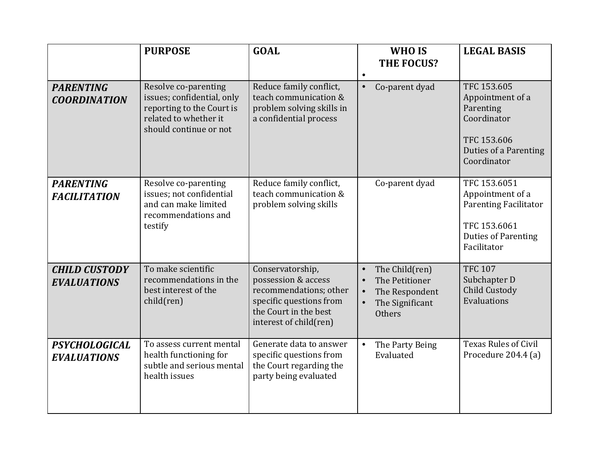|                                            | <b>PURPOSE</b>                                                                                                                     | <b>GOAL</b>                                                                                                                                     | WHO IS<br><b>THE FOCUS?</b><br>$\bullet$                                                     | <b>LEGAL BASIS</b>                                                                                                            |
|--------------------------------------------|------------------------------------------------------------------------------------------------------------------------------------|-------------------------------------------------------------------------------------------------------------------------------------------------|----------------------------------------------------------------------------------------------|-------------------------------------------------------------------------------------------------------------------------------|
| <b>PARENTING</b><br><b>COORDINATION</b>    | Resolve co-parenting<br>issues; confidential, only<br>reporting to the Court is<br>related to whether it<br>should continue or not | Reduce family conflict,<br>teach communication &<br>problem solving skills in<br>a confidential process                                         | Co-parent dyad<br>$\bullet$                                                                  | TFC 153.605<br>Appointment of a<br>Parenting<br>Coordinator<br>TFC 153.606<br>Duties of a Parenting<br>Coordinator            |
| <b>PARENTING</b><br><b>FACILITATION</b>    | Resolve co-parenting<br>issues; not confidential<br>and can make limited<br>recommendations and<br>testify                         | Reduce family conflict,<br>teach communication &<br>problem solving skills                                                                      | Co-parent dyad                                                                               | TFC 153.6051<br>Appointment of a<br><b>Parenting Facilitator</b><br>TFC 153.6061<br><b>Duties of Parenting</b><br>Facilitator |
| <b>CHILD CUSTODY</b><br><b>EVALUATIONS</b> | To make scientific<br>recommendations in the<br>best interest of the<br>child(ren)                                                 | Conservatorship,<br>possession & access<br>recommendations; other<br>specific questions from<br>the Court in the best<br>interest of child(ren) | The Child(ren)<br>$\bullet$<br>The Petitioner<br>The Respondent<br>The Significant<br>Others | <b>TFC 107</b><br>Subchapter D<br>Child Custody<br>Evaluations                                                                |
| <b>PSYCHOLOGICAL</b><br><b>EVALUATIONS</b> | To assess current mental<br>health functioning for<br>subtle and serious mental<br>health issues                                   | Generate data to answer<br>specific questions from<br>the Court regarding the<br>party being evaluated                                          | The Party Being<br>$\bullet$<br>Evaluated                                                    | <b>Texas Rules of Civil</b><br>Procedure 204.4 (a)                                                                            |